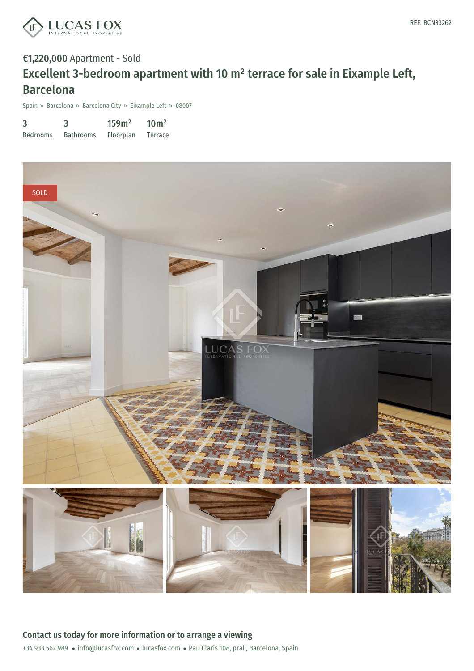

## €1,220,000 Apartment - Sold Excellent 3-bedroom apartment with 10 m² terrace for sale in Eixample Left, Barcelona

Spain » Barcelona » Barcelona City » Eixample Left » 08007

| 3               | 3                | 159m <sup>2</sup> | 10 <sup>m²</sup> |
|-----------------|------------------|-------------------|------------------|
| <b>Bedrooms</b> | <b>Bathrooms</b> | Floorplan         | Terrace          |

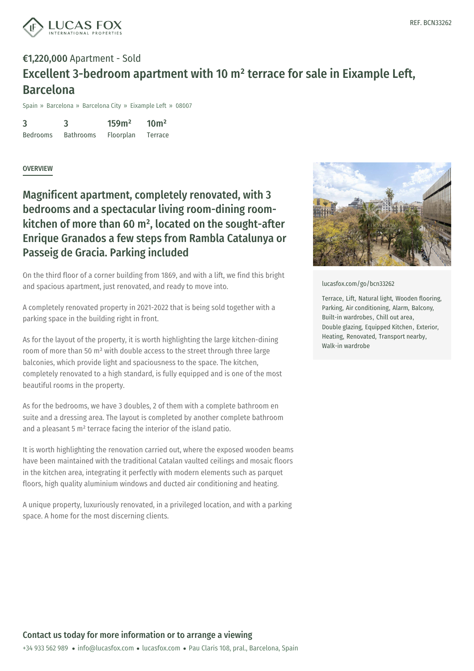

## €1,220,000 Apartment - Sold Excellent 3-bedroom apartment with 10 m² terrace for sale in Eixample Left, Barcelona

Spain » Barcelona » Barcelona City » Eixample Left » 08007

3 Bedrooms 3 Bathrooms 159m² Floorplan  $10<sup>m²</sup>$ Terrace

## **OVERVIEW**

Magnificent apartment, completely renovated, with 3 bedrooms and a spectacular living room-dining roomkitchen of more than 60 m² , located on the sought-after Enrique Granados a few steps from Rambla Catalunya or Passeig de Gracia. Parking included

On the third floor of a corner building from 1869, and with a lift, we find this bright and spacious apartment, just renovated, and ready to move into.

A completely renovated property in 2021-2022 that is being sold together with a parking space in the building right in front.

As for the layout of the property, it is worth highlighting the large kitchen-dining room of more than 50 m² with double access to the street through three large balconies, which provide light and spaciousness to the space. The kitchen, completely renovated to a high standard, is fully equipped and is one of the most beautiful rooms in the property.

As for the bedrooms, we have 3 doubles, 2 of them with a complete bathroom en suite and a dressing area. The layout is completed by another complete bathroom and a pleasant 5 m² terrace facing the interior of the island patio.

It is worth highlighting the renovation carried out, where the exposed wooden beams have been maintained with the traditional Catalan vaulted ceilings and mosaic floors in the kitchen area, integrating it perfectly with modern elements such as parquet floors, high quality [aluminium](mailto:info@lucasfox.com) windows and [ducte](https://www.lucasfox.com)d air conditioning and heating.

A unique property, luxuriously renovated, in a privileged location, and with a parking space. A home for the most discerning clients.



[lucasfox.com/go/bcn33262](https://www.lucasfox.com/go/bcn33262)

Terrace, Lift, Natural light, Wooden flooring, Parking, Air conditioning, Alarm, Balcony, Built-in wardrobes, Chill out area, Double glazing, Equipped Kitchen, Exterior, Heating, Renovated, Transport nearby, Walk-in wardrobe